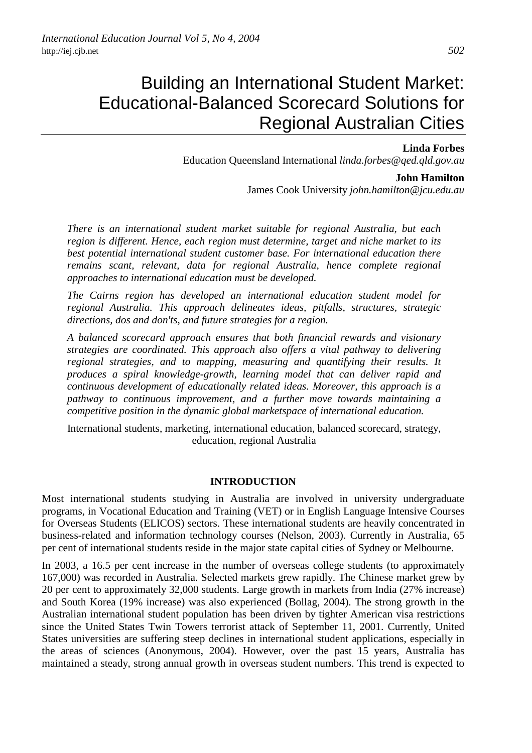# Building an International Student Market: Educational-Balanced Scorecard Solutions for Regional Australian Cities

## **Linda Forbes**

Education Queensland International *linda.forbes@qed.qld.gov.au*

#### **John Hamilton**

James Cook University *john.hamilton@jcu.edu.au*

*There is an international student market suitable for regional Australia, but each region is different. Hence, each region must determine, target and niche market to its best potential international student customer base. For international education there remains scant, relevant, data for regional Australia, hence complete regional approaches to international education must be developed.* 

*The Cairns region has developed an international education student model for regional Australia. This approach delineates ideas, pitfalls, structures, strategic directions, dos and don'ts, and future strategies for a region.* 

*A balanced scorecard approach ensures that both financial rewards and visionary strategies are coordinated. This approach also offers a vital pathway to delivering regional strategies, and to mapping, measuring and quantifying their results. It produces a spiral knowledge-growth, learning model that can deliver rapid and continuous development of educationally related ideas. Moreover, this approach is a pathway to continuous improvement, and a further move towards maintaining a competitive position in the dynamic global marketspace of international education.* 

International students, marketing, international education, balanced scorecard, strategy, education, regional Australia

## **INTRODUCTION**

Most international students studying in Australia are involved in university undergraduate programs, in Vocational Education and Training (VET) or in English Language Intensive Courses for Overseas Students (ELICOS) sectors. These international students are heavily concentrated in business-related and information technology courses (Nelson, 2003). Currently in Australia, 65 per cent of international students reside in the major state capital cities of Sydney or Melbourne.

In 2003, a 16.5 per cent increase in the number of overseas college students (to approximately 167,000) was recorded in Australia. Selected markets grew rapidly. The Chinese market grew by 20 per cent to approximately 32,000 students. Large growth in markets from India (27% increase) and South Korea (19% increase) was also experienced (Bollag, 2004). The strong growth in the Australian international student population has been driven by tighter American visa restrictions since the United States Twin Towers terrorist attack of September 11, 2001. Currently, United States universities are suffering steep declines in international student applications, especially in the areas of sciences (Anonymous, 2004). However, over the past 15 years, Australia has maintained a steady, strong annual growth in overseas student numbers. This trend is expected to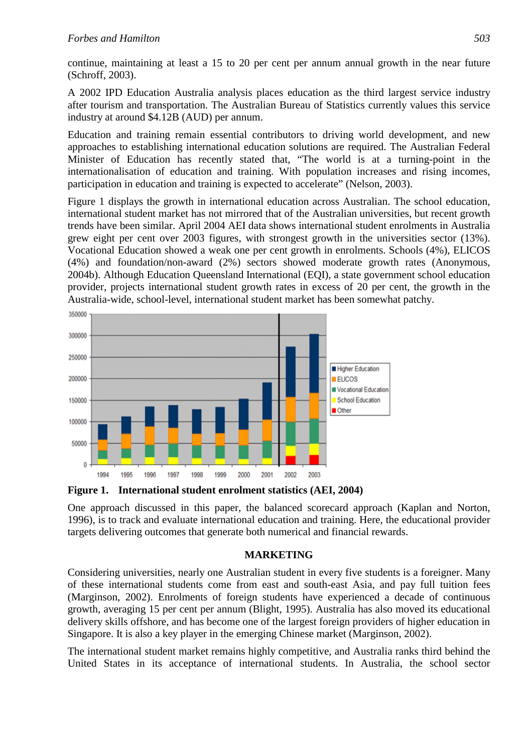continue, maintaining at least a 15 to 20 per cent per annum annual growth in the near future (Schroff, 2003).

A 2002 IPD Education Australia analysis places education as the third largest service industry after tourism and transportation. The Australian Bureau of Statistics currently values this service industry at around \$4.12B (AUD) per annum.

Education and training remain essential contributors to driving world development, and new approaches to establishing international education solutions are required. The Australian Federal Minister of Education has recently stated that, "The world is at a turning-point in the internationalisation of education and training. With population increases and rising incomes, participation in education and training is expected to accelerate" (Nelson, 2003).

Figure 1 displays the growth in international education across Australian. The school education, international student market has not mirrored that of the Australian universities, but recent growth trends have been similar. April 2004 AEI data shows international student enrolments in Australia grew eight per cent over 2003 figures, with strongest growth in the universities sector (13%). Vocational Education showed a weak one per cent growth in enrolments. Schools (4%), ELICOS (4%) and foundation/non-award (2%) sectors showed moderate growth rates (Anonymous, 2004b). Although Education Queensland International (EQI), a state government school education provider, projects international student growth rates in excess of 20 per cent, the growth in the Australia-wide, school-level, international student market has been somewhat patchy.



**Figure 1. International student enrolment statistics (AEI, 2004)** 

One approach discussed in this paper, the balanced scorecard approach (Kaplan and Norton, 1996), is to track and evaluate international education and training. Here, the educational provider targets delivering outcomes that generate both numerical and financial rewards.

## **MARKETING**

Considering universities, nearly one Australian student in every five students is a foreigner. Many of these international students come from east and south-east Asia, and pay full tuition fees (Marginson, 2002). Enrolments of foreign students have experienced a decade of continuous growth, averaging 15 per cent per annum (Blight, 1995). Australia has also moved its educational delivery skills offshore, and has become one of the largest foreign providers of higher education in Singapore. It is also a key player in the emerging Chinese market (Marginson, 2002).

The international student market remains highly competitive, and Australia ranks third behind the United States in its acceptance of international students. In Australia, the school sector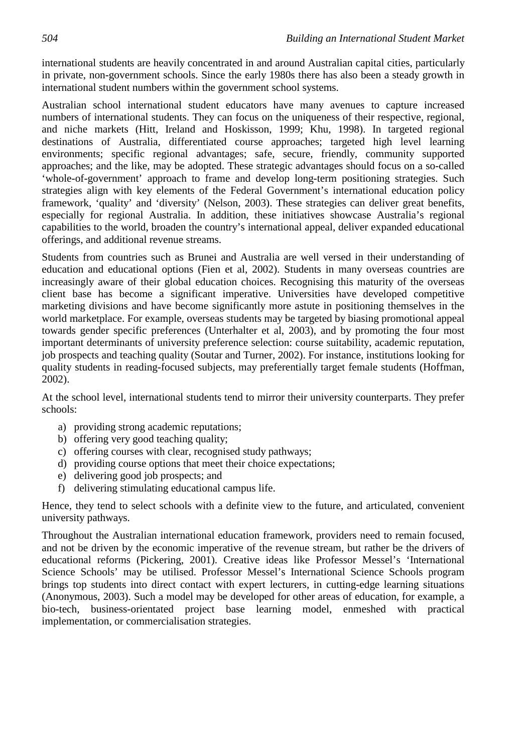international students are heavily concentrated in and around Australian capital cities, particularly in private, non-government schools. Since the early 1980s there has also been a steady growth in international student numbers within the government school systems.

Australian school international student educators have many avenues to capture increased numbers of international students. They can focus on the uniqueness of their respective, regional, and niche markets (Hitt, Ireland and Hoskisson, 1999; Khu, 1998). In targeted regional destinations of Australia, differentiated course approaches; targeted high level learning environments; specific regional advantages; safe, secure, friendly, community supported approaches; and the like, may be adopted. These strategic advantages should focus on a so-called 'whole-of-government' approach to frame and develop long-term positioning strategies. Such strategies align with key elements of the Federal Government's international education policy framework, 'quality' and 'diversity' (Nelson, 2003). These strategies can deliver great benefits, especially for regional Australia. In addition, these initiatives showcase Australia's regional capabilities to the world, broaden the country's international appeal, deliver expanded educational offerings, and additional revenue streams.

Students from countries such as Brunei and Australia are well versed in their understanding of education and educational options (Fien et al, 2002). Students in many overseas countries are increasingly aware of their global education choices. Recognising this maturity of the overseas client base has become a significant imperative. Universities have developed competitive marketing divisions and have become significantly more astute in positioning themselves in the world marketplace. For example, overseas students may be targeted by biasing promotional appeal towards gender specific preferences (Unterhalter et al, 2003), and by promoting the four most important determinants of university preference selection: course suitability, academic reputation, job prospects and teaching quality (Soutar and Turner, 2002). For instance, institutions looking for quality students in reading-focused subjects, may preferentially target female students (Hoffman, 2002).

At the school level, international students tend to mirror their university counterparts. They prefer schools:

- a) providing strong academic reputations;
- b) offering very good teaching quality;
- c) offering courses with clear, recognised study pathways;
- d) providing course options that meet their choice expectations;
- e) delivering good job prospects; and
- f) delivering stimulating educational campus life.

Hence, they tend to select schools with a definite view to the future, and articulated, convenient university pathways.

Throughout the Australian international education framework, providers need to remain focused, and not be driven by the economic imperative of the revenue stream, but rather be the drivers of educational reforms (Pickering, 2001). Creative ideas like Professor Messel's 'International Science Schools' may be utilised. Professor Messel's International Science Schools program brings top students into direct contact with expert lecturers, in cutting-edge learning situations (Anonymous, 2003). Such a model may be developed for other areas of education, for example, a bio-tech, business-orientated project base learning model, enmeshed with practical implementation, or commercialisation strategies.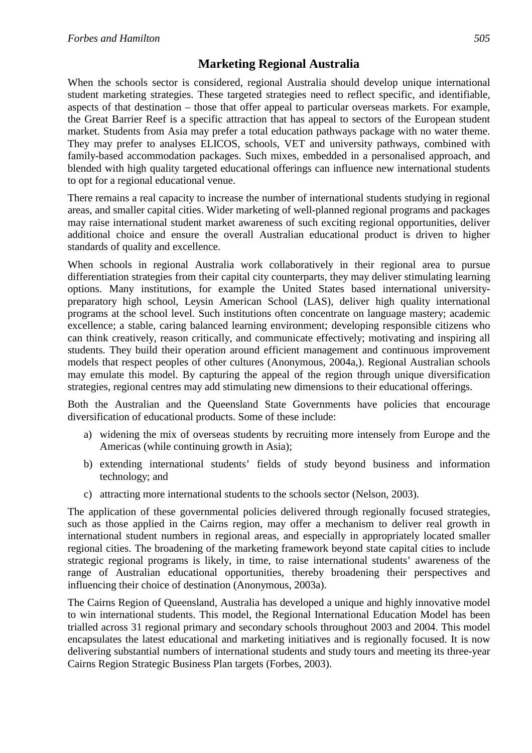# **Marketing Regional Australia**

When the schools sector is considered, regional Australia should develop unique international student marketing strategies. These targeted strategies need to reflect specific, and identifiable, aspects of that destination – those that offer appeal to particular overseas markets. For example, the Great Barrier Reef is a specific attraction that has appeal to sectors of the European student market. Students from Asia may prefer a total education pathways package with no water theme. They may prefer to analyses ELICOS, schools, VET and university pathways, combined with family-based accommodation packages. Such mixes, embedded in a personalised approach, and blended with high quality targeted educational offerings can influence new international students to opt for a regional educational venue.

There remains a real capacity to increase the number of international students studying in regional areas, and smaller capital cities. Wider marketing of well-planned regional programs and packages may raise international student market awareness of such exciting regional opportunities, deliver additional choice and ensure the overall Australian educational product is driven to higher standards of quality and excellence.

When schools in regional Australia work collaboratively in their regional area to pursue differentiation strategies from their capital city counterparts, they may deliver stimulating learning options. Many institutions, for example the United States based international universitypreparatory high school, Leysin American School (LAS), deliver high quality international programs at the school level. Such institutions often concentrate on language mastery; academic excellence; a stable, caring balanced learning environment; developing responsible citizens who can think creatively, reason critically, and communicate effectively; motivating and inspiring all students. They build their operation around efficient management and continuous improvement models that respect peoples of other cultures (Anonymous, 2004a,). Regional Australian schools may emulate this model. By capturing the appeal of the region through unique diversification strategies, regional centres may add stimulating new dimensions to their educational offerings.

Both the Australian and the Queensland State Governments have policies that encourage diversification of educational products. Some of these include:

- a) widening the mix of overseas students by recruiting more intensely from Europe and the Americas (while continuing growth in Asia);
- b) extending international students' fields of study beyond business and information technology; and
- c) attracting more international students to the schools sector (Nelson, 2003).

The application of these governmental policies delivered through regionally focused strategies, such as those applied in the Cairns region, may offer a mechanism to deliver real growth in international student numbers in regional areas, and especially in appropriately located smaller regional cities. The broadening of the marketing framework beyond state capital cities to include strategic regional programs is likely, in time, to raise international students' awareness of the range of Australian educational opportunities, thereby broadening their perspectives and influencing their choice of destination (Anonymous, 2003a).

The Cairns Region of Queensland, Australia has developed a unique and highly innovative model to win international students. This model, the Regional International Education Model has been trialled across 31 regional primary and secondary schools throughout 2003 and 2004. This model encapsulates the latest educational and marketing initiatives and is regionally focused. It is now delivering substantial numbers of international students and study tours and meeting its three-year Cairns Region Strategic Business Plan targets (Forbes, 2003).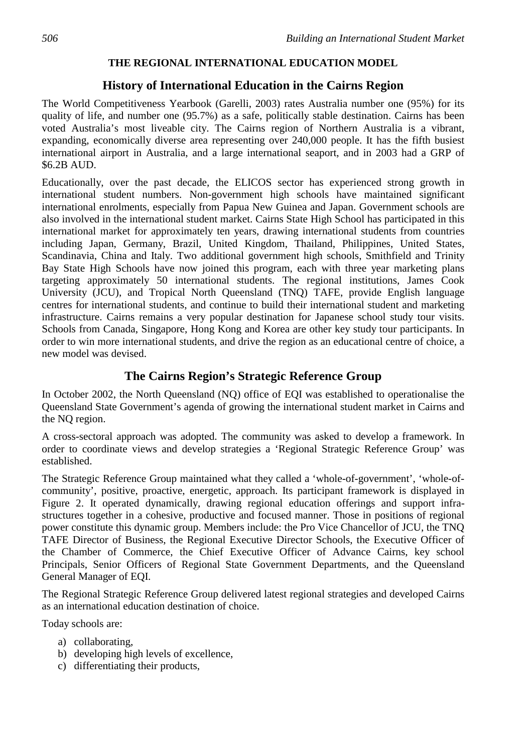# **THE REGIONAL INTERNATIONAL EDUCATION MODEL**

# **History of International Education in the Cairns Region**

The World Competitiveness Yearbook (Garelli, 2003) rates Australia number one (95%) for its quality of life, and number one (95.7%) as a safe, politically stable destination. Cairns has been voted Australia's most liveable city. The Cairns region of Northern Australia is a vibrant, expanding, economically diverse area representing over 240,000 people. It has the fifth busiest international airport in Australia, and a large international seaport, and in 2003 had a GRP of \$6.2B AUD.

Educationally, over the past decade, the ELICOS sector has experienced strong growth in international student numbers. Non-government high schools have maintained significant international enrolments, especially from Papua New Guinea and Japan. Government schools are also involved in the international student market. Cairns State High School has participated in this international market for approximately ten years, drawing international students from countries including Japan, Germany, Brazil, United Kingdom, Thailand, Philippines, United States, Scandinavia, China and Italy. Two additional government high schools, Smithfield and Trinity Bay State High Schools have now joined this program, each with three year marketing plans targeting approximately 50 international students. The regional institutions, James Cook University (JCU), and Tropical North Queensland (TNQ) TAFE, provide English language centres for international students, and continue to build their international student and marketing infrastructure. Cairns remains a very popular destination for Japanese school study tour visits. Schools from Canada, Singapore, Hong Kong and Korea are other key study tour participants. In order to win more international students, and drive the region as an educational centre of choice, a new model was devised.

# **The Cairns Region's Strategic Reference Group**

In October 2002, the North Queensland (NQ) office of EQI was established to operationalise the Queensland State Government's agenda of growing the international student market in Cairns and the NQ region.

A cross-sectoral approach was adopted. The community was asked to develop a framework. In order to coordinate views and develop strategies a 'Regional Strategic Reference Group' was established.

The Strategic Reference Group maintained what they called a 'whole-of-government', 'whole-ofcommunity', positive, proactive, energetic, approach. Its participant framework is displayed in Figure 2. It operated dynamically, drawing regional education offerings and support infrastructures together in a cohesive, productive and focused manner. Those in positions of regional power constitute this dynamic group. Members include: the Pro Vice Chancellor of JCU, the TNQ TAFE Director of Business, the Regional Executive Director Schools, the Executive Officer of the Chamber of Commerce, the Chief Executive Officer of Advance Cairns, key school Principals, Senior Officers of Regional State Government Departments, and the Queensland General Manager of EQI.

The Regional Strategic Reference Group delivered latest regional strategies and developed Cairns as an international education destination of choice.

Today schools are:

- a) collaborating,
- b) developing high levels of excellence,
- c) differentiating their products,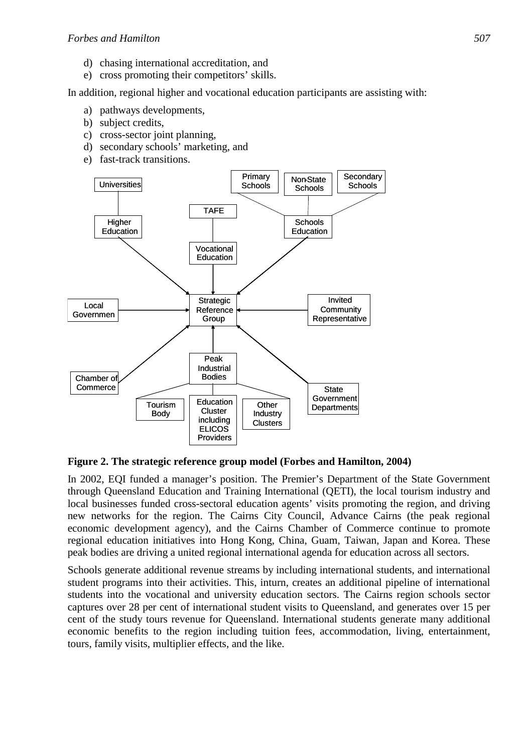- d) chasing international accreditation, and
- e) cross promoting their competitors' skills.

In addition, regional higher and vocational education participants are assisting with:

- a) pathways developments,
- b) subject credits,
- c) cross-sector joint planning,
- d) secondary schools' marketing, and
- e) fast-track transitions.



**Figure 2. The strategic reference group model (Forbes and Hamilton, 2004)** 

In 2002, EQI funded a manager's position. The Premier's Department of the State Government through Queensland Education and Training International (QETI), the local tourism industry and local businesses funded cross-sectoral education agents' visits promoting the region, and driving new networks for the region. The Cairns City Council, Advance Cairns (the peak regional economic development agency), and the Cairns Chamber of Commerce continue to promote regional education initiatives into Hong Kong, China, Guam, Taiwan, Japan and Korea. These peak bodies are driving a united regional international agenda for education across all sectors.

Schools generate additional revenue streams by including international students, and international student programs into their activities. This, inturn, creates an additional pipeline of international students into the vocational and university education sectors. The Cairns region schools sector captures over 28 per cent of international student visits to Queensland, and generates over 15 per cent of the study tours revenue for Queensland. International students generate many additional economic benefits to the region including tuition fees, accommodation, living, entertainment, tours, family visits, multiplier effects, and the like.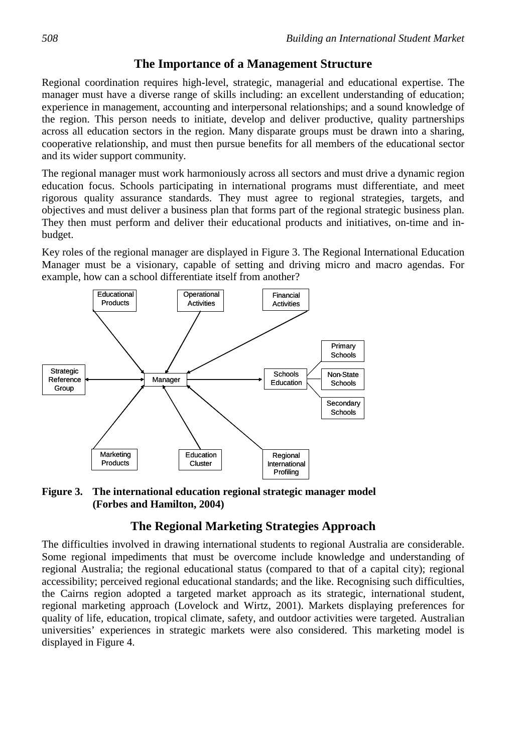# **The Importance of a Management Structure**

Regional coordination requires high-level, strategic, managerial and educational expertise. The manager must have a diverse range of skills including: an excellent understanding of education; experience in management, accounting and interpersonal relationships; and a sound knowledge of the region. This person needs to initiate, develop and deliver productive, quality partnerships across all education sectors in the region. Many disparate groups must be drawn into a sharing, cooperative relationship, and must then pursue benefits for all members of the educational sector and its wider support community.

The regional manager must work harmoniously across all sectors and must drive a dynamic region education focus. Schools participating in international programs must differentiate, and meet rigorous quality assurance standards. They must agree to regional strategies, targets, and objectives and must deliver a business plan that forms part of the regional strategic business plan. They then must perform and deliver their educational products and initiatives, on-time and inbudget.

Key roles of the regional manager are displayed in Figure 3. The Regional International Education Manager must be a visionary, capable of setting and driving micro and macro agendas. For example, how can a school differentiate itself from another?



**Figure 3. The international education regional strategic manager model (Forbes and Hamilton, 2004)** 

# **The Regional Marketing Strategies Approach**

The difficulties involved in drawing international students to regional Australia are considerable. Some regional impediments that must be overcome include knowledge and understanding of regional Australia; the regional educational status (compared to that of a capital city); regional accessibility; perceived regional educational standards; and the like. Recognising such difficulties, the Cairns region adopted a targeted market approach as its strategic, international student, regional marketing approach (Lovelock and Wirtz, 2001). Markets displaying preferences for quality of life, education, tropical climate, safety, and outdoor activities were targeted. Australian universities' experiences in strategic markets were also considered. This marketing model is displayed in Figure 4.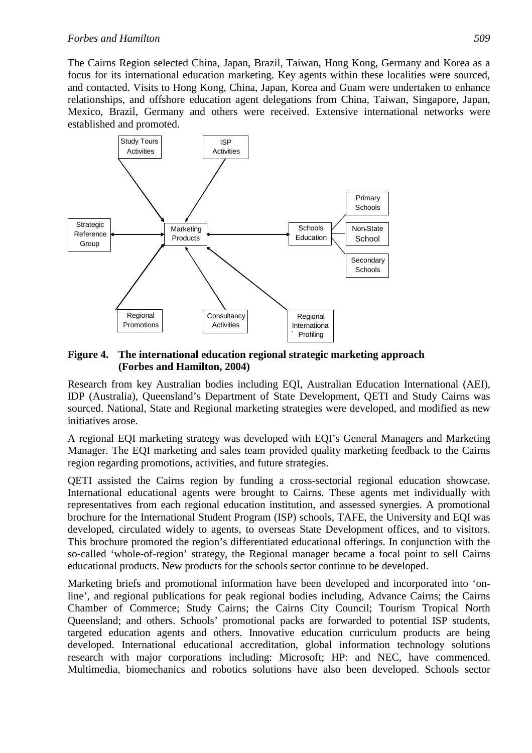The Cairns Region selected China, Japan, Brazil, Taiwan, Hong Kong, Germany and Korea as a focus for its international education marketing. Key agents within these localities were sourced, and contacted. Visits to Hong Kong, China, Japan, Korea and Guam were undertaken to enhance relationships, and offshore education agent delegations from China, Taiwan, Singapore, Japan, Mexico, Brazil, Germany and others were received. Extensive international networks were established and promoted.



#### **Figure 4. The international education regional strategic marketing approach (Forbes and Hamilton, 2004)**

Research from key Australian bodies including EQI, Australian Education International (AEI), IDP (Australia), Queensland's Department of State Development, QETI and Study Cairns was sourced. National, State and Regional marketing strategies were developed, and modified as new initiatives arose.

A regional EQI marketing strategy was developed with EQI's General Managers and Marketing Manager. The EQI marketing and sales team provided quality marketing feedback to the Cairns region regarding promotions, activities, and future strategies.

QETI assisted the Cairns region by funding a cross-sectorial regional education showcase. International educational agents were brought to Cairns. These agents met individually with representatives from each regional education institution, and assessed synergies. A promotional brochure for the International Student Program (ISP) schools, TAFE, the University and EQI was developed, circulated widely to agents, to overseas State Development offices, and to visitors. This brochure promoted the region's differentiated educational offerings. In conjunction with the so-called 'whole-of-region' strategy, the Regional manager became a focal point to sell Cairns educational products. New products for the schools sector continue to be developed.

Marketing briefs and promotional information have been developed and incorporated into 'online', and regional publications for peak regional bodies including, Advance Cairns; the Cairns Chamber of Commerce; Study Cairns; the Cairns City Council; Tourism Tropical North Queensland; and others. Schools' promotional packs are forwarded to potential ISP students, targeted education agents and others. Innovative education curriculum products are being developed. International educational accreditation, global information technology solutions research with major corporations including: Microsoft; HP: and NEC, have commenced. Multimedia, biomechanics and robotics solutions have also been developed. Schools sector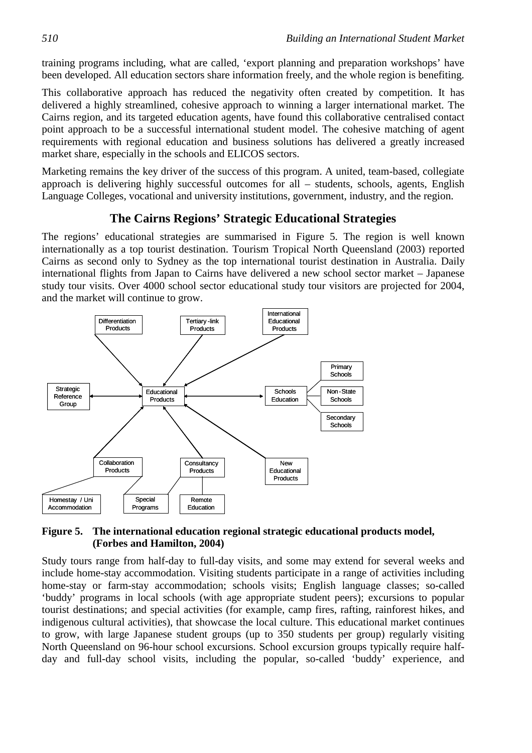training programs including, what are called, 'export planning and preparation workshops' have been developed. All education sectors share information freely, and the whole region is benefiting.

This collaborative approach has reduced the negativity often created by competition. It has delivered a highly streamlined, cohesive approach to winning a larger international market. The Cairns region, and its targeted education agents, have found this collaborative centralised contact point approach to be a successful international student model. The cohesive matching of agent requirements with regional education and business solutions has delivered a greatly increased market share, especially in the schools and ELICOS sectors.

Marketing remains the key driver of the success of this program. A united, team-based, collegiate approach is delivering highly successful outcomes for all – students, schools, agents, English Language Colleges, vocational and university institutions, government, industry, and the region.

# **The Cairns Regions' Strategic Educational Strategies**

The regions' educational strategies are summarised in Figure 5. The region is well known internationally as a top tourist destination. Tourism Tropical North Queensland (2003) reported Cairns as second only to Sydney as the top international tourist destination in Australia. Daily international flights from Japan to Cairns have delivered a new school sector market – Japanese study tour visits. Over 4000 school sector educational study tour visitors are projected for 2004, and the market will continue to grow.



## **Figure 5. The international education regional strategic educational products model, (Forbes and Hamilton, 2004)**

Study tours range from half-day to full-day visits, and some may extend for several weeks and include home-stay accommodation. Visiting students participate in a range of activities including home-stay or farm-stay accommodation; schools visits; English language classes; so-called 'buddy' programs in local schools (with age appropriate student peers); excursions to popular tourist destinations; and special activities (for example, camp fires, rafting, rainforest hikes, and indigenous cultural activities), that showcase the local culture. This educational market continues to grow, with large Japanese student groups (up to 350 students per group) regularly visiting North Queensland on 96-hour school excursions. School excursion groups typically require halfday and full-day school visits, including the popular, so-called 'buddy' experience, and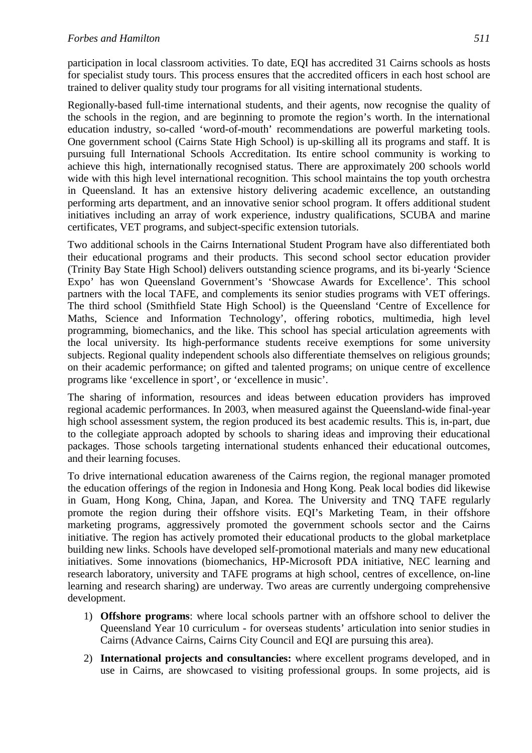participation in local classroom activities. To date, EQI has accredited 31 Cairns schools as hosts for specialist study tours. This process ensures that the accredited officers in each host school are trained to deliver quality study tour programs for all visiting international students.

Regionally-based full-time international students, and their agents, now recognise the quality of the schools in the region, and are beginning to promote the region's worth. In the international education industry, so-called 'word-of-mouth' recommendations are powerful marketing tools. One government school (Cairns State High School) is up-skilling all its programs and staff. It is pursuing full International Schools Accreditation. Its entire school community is working to achieve this high, internationally recognised status. There are approximately 200 schools world wide with this high level international recognition. This school maintains the top youth orchestra in Queensland. It has an extensive history delivering academic excellence, an outstanding performing arts department, and an innovative senior school program. It offers additional student initiatives including an array of work experience, industry qualifications, SCUBA and marine certificates, VET programs, and subject-specific extension tutorials.

Two additional schools in the Cairns International Student Program have also differentiated both their educational programs and their products. This second school sector education provider (Trinity Bay State High School) delivers outstanding science programs, and its bi-yearly 'Science Expo' has won Queensland Government's 'Showcase Awards for Excellence'. This school partners with the local TAFE, and complements its senior studies programs with VET offerings. The third school (Smithfield State High School) is the Queensland 'Centre of Excellence for Maths, Science and Information Technology', offering robotics, multimedia, high level programming, biomechanics, and the like. This school has special articulation agreements with the local university. Its high-performance students receive exemptions for some university subjects. Regional quality independent schools also differentiate themselves on religious grounds; on their academic performance; on gifted and talented programs; on unique centre of excellence programs like 'excellence in sport', or 'excellence in music'.

The sharing of information, resources and ideas between education providers has improved regional academic performances. In 2003, when measured against the Queensland-wide final-year high school assessment system, the region produced its best academic results. This is, in-part, due to the collegiate approach adopted by schools to sharing ideas and improving their educational packages. Those schools targeting international students enhanced their educational outcomes, and their learning focuses.

To drive international education awareness of the Cairns region, the regional manager promoted the education offerings of the region in Indonesia and Hong Kong. Peak local bodies did likewise in Guam, Hong Kong, China, Japan, and Korea. The University and TNQ TAFE regularly promote the region during their offshore visits. EQI's Marketing Team, in their offshore marketing programs, aggressively promoted the government schools sector and the Cairns initiative. The region has actively promoted their educational products to the global marketplace building new links. Schools have developed self-promotional materials and many new educational initiatives. Some innovations (biomechanics, HP-Microsoft PDA initiative, NEC learning and research laboratory, university and TAFE programs at high school, centres of excellence, on-line learning and research sharing) are underway. Two areas are currently undergoing comprehensive development.

- 1) **Offshore programs**: where local schools partner with an offshore school to deliver the Queensland Year 10 curriculum - for overseas students' articulation into senior studies in Cairns (Advance Cairns, Cairns City Council and EQI are pursuing this area).
- 2) **International projects and consultancies:** where excellent programs developed, and in use in Cairns, are showcased to visiting professional groups. In some projects, aid is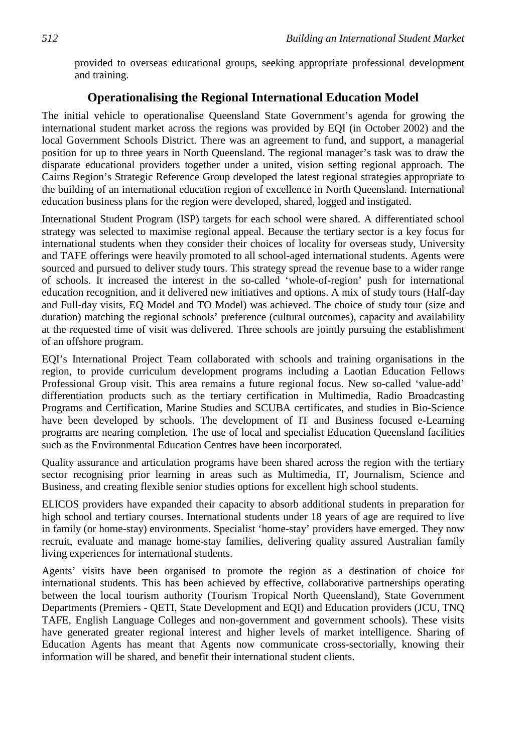provided to overseas educational groups, seeking appropriate professional development and training.

# **Operationalising the Regional International Education Model**

The initial vehicle to operationalise Queensland State Government's agenda for growing the international student market across the regions was provided by EQI (in October 2002) and the local Government Schools District. There was an agreement to fund, and support, a managerial position for up to three years in North Queensland. The regional manager's task was to draw the disparate educational providers together under a united, vision setting regional approach. The Cairns Region's Strategic Reference Group developed the latest regional strategies appropriate to the building of an international education region of excellence in North Queensland. International education business plans for the region were developed, shared, logged and instigated.

International Student Program (ISP) targets for each school were shared. A differentiated school strategy was selected to maximise regional appeal. Because the tertiary sector is a key focus for international students when they consider their choices of locality for overseas study, University and TAFE offerings were heavily promoted to all school-aged international students. Agents were sourced and pursued to deliver study tours. This strategy spread the revenue base to a wider range of schools. It increased the interest in the so-called 'whole-of-region' push for international education recognition, and it delivered new initiatives and options. A mix of study tours (Half-day and Full-day visits, EQ Model and TO Model) was achieved. The choice of study tour (size and duration) matching the regional schools' preference (cultural outcomes), capacity and availability at the requested time of visit was delivered. Three schools are jointly pursuing the establishment of an offshore program.

EQI's International Project Team collaborated with schools and training organisations in the region, to provide curriculum development programs including a Laotian Education Fellows Professional Group visit. This area remains a future regional focus. New so-called 'value-add' differentiation products such as the tertiary certification in Multimedia, Radio Broadcasting Programs and Certification, Marine Studies and SCUBA certificates, and studies in Bio-Science have been developed by schools. The development of IT and Business focused e-Learning programs are nearing completion. The use of local and specialist Education Queensland facilities such as the Environmental Education Centres have been incorporated.

Quality assurance and articulation programs have been shared across the region with the tertiary sector recognising prior learning in areas such as Multimedia, IT, Journalism, Science and Business, and creating flexible senior studies options for excellent high school students.

ELICOS providers have expanded their capacity to absorb additional students in preparation for high school and tertiary courses. International students under 18 years of age are required to live in family (or home-stay) environments. Specialist 'home-stay' providers have emerged. They now recruit, evaluate and manage home-stay families, delivering quality assured Australian family living experiences for international students.

Agents' visits have been organised to promote the region as a destination of choice for international students. This has been achieved by effective, collaborative partnerships operating between the local tourism authority (Tourism Tropical North Queensland), State Government Departments (Premiers - QETI, State Development and EQI) and Education providers (JCU, TNQ TAFE, English Language Colleges and non-government and government schools). These visits have generated greater regional interest and higher levels of market intelligence. Sharing of Education Agents has meant that Agents now communicate cross-sectorially, knowing their information will be shared, and benefit their international student clients.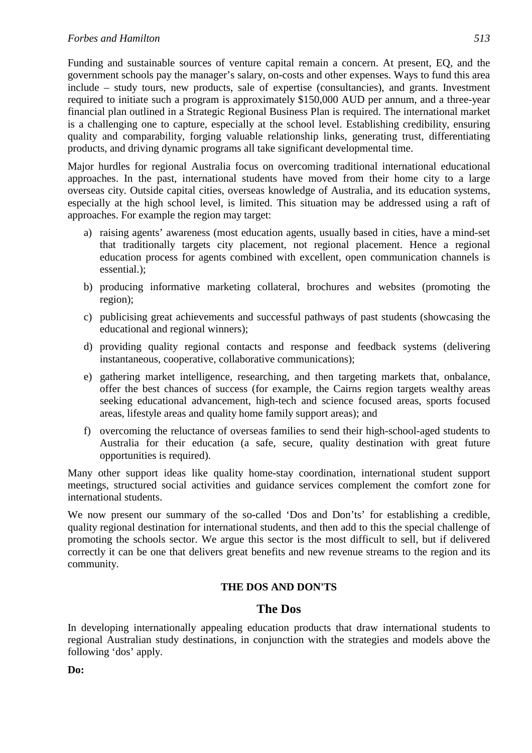Funding and sustainable sources of venture capital remain a concern. At present, EQ, and the government schools pay the manager's salary, on-costs and other expenses. Ways to fund this area include – study tours, new products, sale of expertise (consultancies), and grants. Investment required to initiate such a program is approximately \$150,000 AUD per annum, and a three-year financial plan outlined in a Strategic Regional Business Plan is required. The international market is a challenging one to capture, especially at the school level. Establishing credibility, ensuring quality and comparability, forging valuable relationship links, generating trust, differentiating products, and driving dynamic programs all take significant developmental time.

Major hurdles for regional Australia focus on overcoming traditional international educational approaches. In the past, international students have moved from their home city to a large overseas city. Outside capital cities, overseas knowledge of Australia, and its education systems, especially at the high school level, is limited. This situation may be addressed using a raft of approaches. For example the region may target:

- a) raising agents' awareness (most education agents, usually based in cities, have a mind-set that traditionally targets city placement, not regional placement. Hence a regional education process for agents combined with excellent, open communication channels is essential.);
- b) producing informative marketing collateral, brochures and websites (promoting the region);
- c) publicising great achievements and successful pathways of past students (showcasing the educational and regional winners);
- d) providing quality regional contacts and response and feedback systems (delivering instantaneous, cooperative, collaborative communications);
- e) gathering market intelligence, researching, and then targeting markets that, onbalance, offer the best chances of success (for example, the Cairns region targets wealthy areas seeking educational advancement, high-tech and science focused areas, sports focused areas, lifestyle areas and quality home family support areas); and
- f) overcoming the reluctance of overseas families to send their high-school-aged students to Australia for their education (a safe, secure, quality destination with great future opportunities is required).

Many other support ideas like quality home-stay coordination, international student support meetings, structured social activities and guidance services complement the comfort zone for international students.

We now present our summary of the so-called 'Dos and Don'ts' for establishing a credible, quality regional destination for international students, and then add to this the special challenge of promoting the schools sector. We argue this sector is the most difficult to sell, but if delivered correctly it can be one that delivers great benefits and new revenue streams to the region and its community.

## **THE DOS AND DON'TS**

## **The Dos**

In developing internationally appealing education products that draw international students to regional Australian study destinations, in conjunction with the strategies and models above the following 'dos' apply.

**Do:**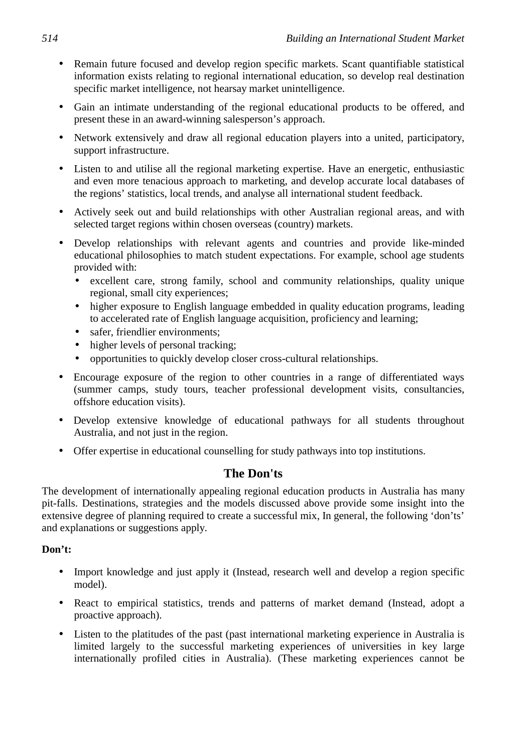- Remain future focused and develop region specific markets. Scant quantifiable statistical information exists relating to regional international education, so develop real destination specific market intelligence, not hearsay market unintelligence.
- Gain an intimate understanding of the regional educational products to be offered, and present these in an award-winning salesperson's approach.
- Network extensively and draw all regional education players into a united, participatory, support infrastructure.
- Listen to and utilise all the regional marketing expertise. Have an energetic, enthusiastic and even more tenacious approach to marketing, and develop accurate local databases of the regions' statistics, local trends, and analyse all international student feedback.
- Actively seek out and build relationships with other Australian regional areas, and with selected target regions within chosen overseas (country) markets.
- Develop relationships with relevant agents and countries and provide like-minded educational philosophies to match student expectations. For example, school age students provided with:
	- excellent care, strong family, school and community relationships, quality unique regional, small city experiences;
	- higher exposure to English language embedded in quality education programs, leading to accelerated rate of English language acquisition, proficiency and learning;
	- safer, friendlier environments;
	- higher levels of personal tracking;
	- opportunities to quickly develop closer cross-cultural relationships.
- Encourage exposure of the region to other countries in a range of differentiated ways (summer camps, study tours, teacher professional development visits, consultancies, offshore education visits).
- Develop extensive knowledge of educational pathways for all students throughout Australia, and not just in the region.
- Offer expertise in educational counselling for study pathways into top institutions.

# **The Don'ts**

The development of internationally appealing regional education products in Australia has many pit-falls. Destinations, strategies and the models discussed above provide some insight into the extensive degree of planning required to create a successful mix, In general, the following 'don'ts' and explanations or suggestions apply.

## **Don't:**

- Import knowledge and just apply it (Instead, research well and develop a region specific model).
- React to empirical statistics, trends and patterns of market demand (Instead, adopt a proactive approach).
- Listen to the platitudes of the past (past international marketing experience in Australia is limited largely to the successful marketing experiences of universities in key large internationally profiled cities in Australia). (These marketing experiences cannot be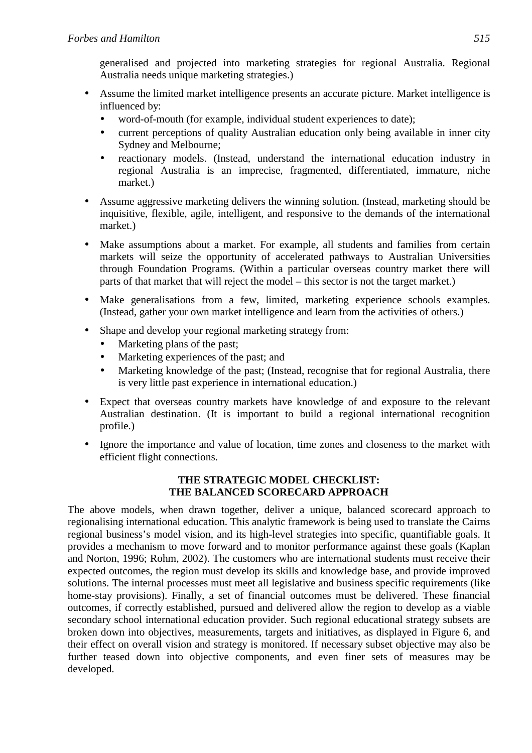generalised and projected into marketing strategies for regional Australia. Regional Australia needs unique marketing strategies.)

- Assume the limited market intelligence presents an accurate picture. Market intelligence is influenced by:
	- word-of-mouth (for example, individual student experiences to date);
	- current perceptions of quality Australian education only being available in inner city Sydney and Melbourne;
	- reactionary models. (Instead, understand the international education industry in regional Australia is an imprecise, fragmented, differentiated, immature, niche market.)
- Assume aggressive marketing delivers the winning solution. (Instead, marketing should be inquisitive, flexible, agile, intelligent, and responsive to the demands of the international market.)
- Make assumptions about a market. For example, all students and families from certain markets will seize the opportunity of accelerated pathways to Australian Universities through Foundation Programs. (Within a particular overseas country market there will parts of that market that will reject the model – this sector is not the target market.)
- Make generalisations from a few, limited, marketing experience schools examples. (Instead, gather your own market intelligence and learn from the activities of others.)
- Shape and develop your regional marketing strategy from:
	- Marketing plans of the past;
	- Marketing experiences of the past; and
	- Marketing knowledge of the past; (Instead, recognise that for regional Australia, there is very little past experience in international education.)
- Expect that overseas country markets have knowledge of and exposure to the relevant Australian destination. (It is important to build a regional international recognition profile.)
- Ignore the importance and value of location, time zones and closeness to the market with efficient flight connections.

## **THE STRATEGIC MODEL CHECKLIST: THE BALANCED SCORECARD APPROACH**

The above models, when drawn together, deliver a unique, balanced scorecard approach to regionalising international education. This analytic framework is being used to translate the Cairns regional business's model vision, and its high-level strategies into specific, quantifiable goals. It provides a mechanism to move forward and to monitor performance against these goals (Kaplan and Norton, 1996; Rohm, 2002). The customers who are international students must receive their expected outcomes, the region must develop its skills and knowledge base, and provide improved solutions. The internal processes must meet all legislative and business specific requirements (like home-stay provisions). Finally, a set of financial outcomes must be delivered. These financial outcomes, if correctly established, pursued and delivered allow the region to develop as a viable secondary school international education provider. Such regional educational strategy subsets are broken down into objectives, measurements, targets and initiatives, as displayed in Figure 6, and their effect on overall vision and strategy is monitored. If necessary subset objective may also be further teased down into objective components, and even finer sets of measures may be developed.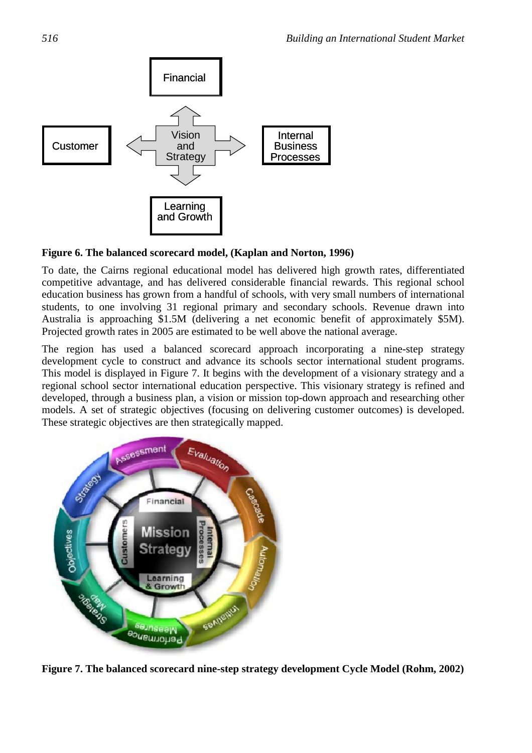

## **Figure 6. The balanced scorecard model, (Kaplan and Norton, 1996)**

To date, the Cairns regional educational model has delivered high growth rates, differentiated competitive advantage, and has delivered considerable financial rewards. This regional school education business has grown from a handful of schools, with very small numbers of international students, to one involving 31 regional primary and secondary schools. Revenue drawn into Australia is approaching \$1.5M (delivering a net economic benefit of approximately \$5M). Projected growth rates in 2005 are estimated to be well above the national average.

The region has used a balanced scorecard approach incorporating a nine-step strategy development cycle to construct and advance its schools sector international student programs. This model is displayed in Figure 7. It begins with the development of a visionary strategy and a regional school sector international education perspective. This visionary strategy is refined and developed, through a business plan, a vision or mission top-down approach and researching other models. A set of strategic objectives (focusing on delivering customer outcomes) is developed. These strategic objectives are then strategically mapped.



**Figure 7. The balanced scorecard nine-step strategy development Cycle Model (Rohm, 2002)**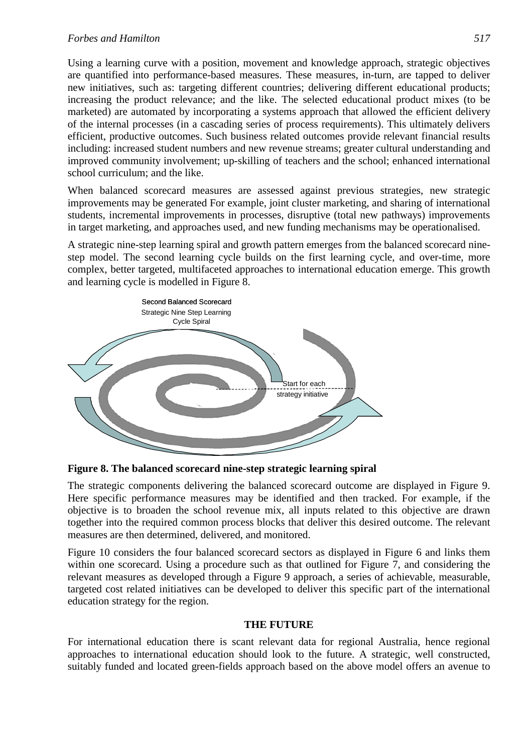## *Forbes and Hamilton 517*

Using a learning curve with a position, movement and knowledge approach, strategic objectives are quantified into performance-based measures. These measures, in-turn, are tapped to deliver new initiatives, such as: targeting different countries; delivering different educational products; increasing the product relevance; and the like. The selected educational product mixes (to be marketed) are automated by incorporating a systems approach that allowed the efficient delivery of the internal processes (in a cascading series of process requirements). This ultimately delivers efficient, productive outcomes. Such business related outcomes provide relevant financial results including: increased student numbers and new revenue streams; greater cultural understanding and improved community involvement; up-skilling of teachers and the school; enhanced international school curriculum; and the like.

When balanced scorecard measures are assessed against previous strategies, new strategic improvements may be generated For example, joint cluster marketing, and sharing of international students, incremental improvements in processes, disruptive (total new pathways) improvements in target marketing, and approaches used, and new funding mechanisms may be operationalised.

A strategic nine-step learning spiral and growth pattern emerges from the balanced scorecard ninestep model. The second learning cycle builds on the first learning cycle, and over-time, more complex, better targeted, multifaceted approaches to international education emerge. This growth and learning cycle is modelled in Figure 8.



**Figure 8. The balanced scorecard nine-step strategic learning spiral** 

The strategic components delivering the balanced scorecard outcome are displayed in Figure 9. Here specific performance measures may be identified and then tracked. For example, if the objective is to broaden the school revenue mix, all inputs related to this objective are drawn together into the required common process blocks that deliver this desired outcome. The relevant measures are then determined, delivered, and monitored.

Figure 10 considers the four balanced scorecard sectors as displayed in Figure 6 and links them within one scorecard. Using a procedure such as that outlined for Figure 7, and considering the relevant measures as developed through a Figure 9 approach, a series of achievable, measurable, targeted cost related initiatives can be developed to deliver this specific part of the international education strategy for the region.

## **THE FUTURE**

For international education there is scant relevant data for regional Australia, hence regional approaches to international education should look to the future. A strategic, well constructed, suitably funded and located green-fields approach based on the above model offers an avenue to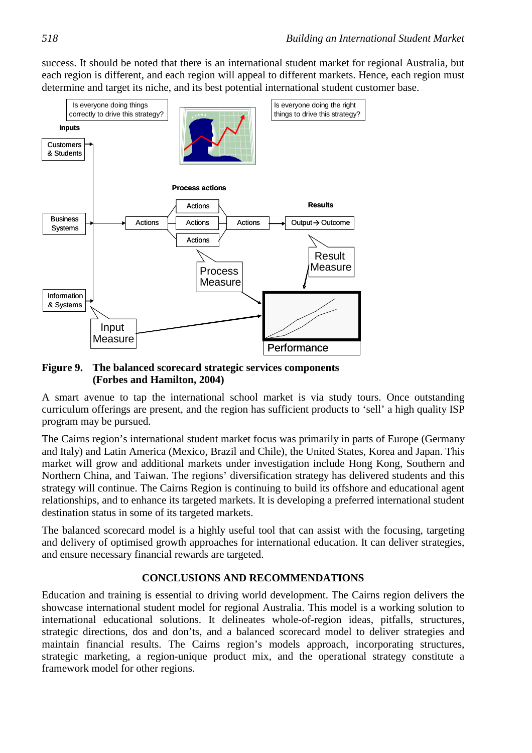success. It should be noted that there is an international student market for regional Australia, but each region is different, and each region will appeal to different markets. Hence, each region must determine and target its niche, and its best potential international student customer base.



## **Figure 9. The balanced scorecard strategic services components (Forbes and Hamilton, 2004)**

A smart avenue to tap the international school market is via study tours. Once outstanding curriculum offerings are present, and the region has sufficient products to 'sell' a high quality ISP program may be pursued.

The Cairns region's international student market focus was primarily in parts of Europe (Germany and Italy) and Latin America (Mexico, Brazil and Chile), the United States, Korea and Japan. This market will grow and additional markets under investigation include Hong Kong, Southern and Northern China, and Taiwan. The regions' diversification strategy has delivered students and this strategy will continue. The Cairns Region is continuing to build its offshore and educational agent relationships, and to enhance its targeted markets. It is developing a preferred international student destination status in some of its targeted markets.

The balanced scorecard model is a highly useful tool that can assist with the focusing, targeting and delivery of optimised growth approaches for international education. It can deliver strategies, and ensure necessary financial rewards are targeted.

## **CONCLUSIONS AND RECOMMENDATIONS**

Education and training is essential to driving world development. The Cairns region delivers the showcase international student model for regional Australia. This model is a working solution to international educational solutions. It delineates whole-of-region ideas, pitfalls, structures, strategic directions, dos and don'ts, and a balanced scorecard model to deliver strategies and maintain financial results. The Cairns region's models approach, incorporating structures, strategic marketing, a region-unique product mix, and the operational strategy constitute a framework model for other regions.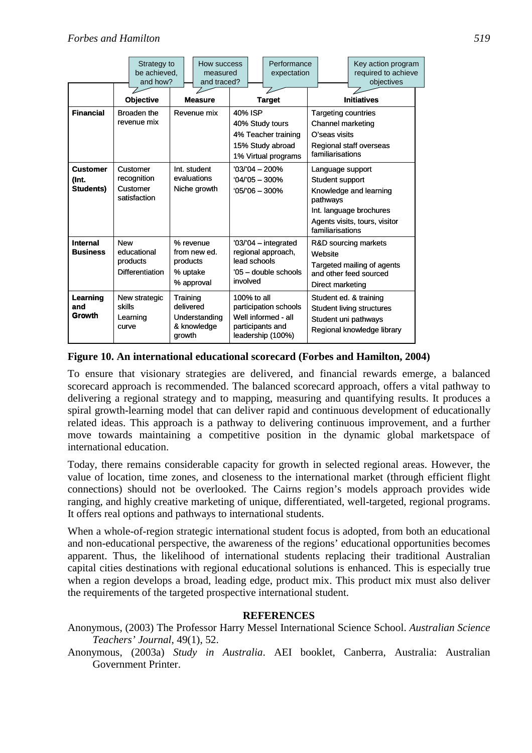|                                              |                                                     | Strategy to<br>be achieved,<br>and how?           |                                                                 | How success<br>measured<br>and traced? |                                                                                                |  | Performance<br>expectation                                                                                                                                |                                                                                                                  |  | Key action program<br>required to achieve<br>objectives |  |
|----------------------------------------------|-----------------------------------------------------|---------------------------------------------------|-----------------------------------------------------------------|----------------------------------------|------------------------------------------------------------------------------------------------|--|-----------------------------------------------------------------------------------------------------------------------------------------------------------|------------------------------------------------------------------------------------------------------------------|--|---------------------------------------------------------|--|
|                                              | <b>Objective</b>                                    |                                                   | <b>Measure</b>                                                  |                                        | <b>Target</b>                                                                                  |  | <b>Initiatives</b>                                                                                                                                        |                                                                                                                  |  |                                                         |  |
| <b>Financial</b>                             | Broaden the<br>revenue mix                          |                                                   | Revenue mix                                                     |                                        | 40% ISP<br>40% Study tours<br>4% Teacher training<br>15% Study abroad<br>1% Virtual programs   |  | <b>Targeting countries</b><br><b>Channel marketing</b><br>O'seas visits<br>Regional staff overseas<br>familiarisations                                    |                                                                                                                  |  |                                                         |  |
| <b>Customer</b><br>(Int.<br><b>Students)</b> | Customer<br>recognition<br>Customer<br>satisfaction |                                                   | Int. student<br>evaluations<br>Niche growth                     |                                        | '03/'04 - 200%<br>$'04/05 - 300\%$<br>$105/06 - 300\%$                                         |  | Language support<br>Student support<br>Knowledge and learning<br>pathways<br>Int. language brochures<br>Agents visits, tours, visitor<br>familiarisations |                                                                                                                  |  |                                                         |  |
| <b>Internal</b><br><b>Business</b>           | <b>New</b>                                          | educational<br>products<br><b>Differentiation</b> | % revenue<br>from new ed.<br>products<br>% uptake<br>% approval |                                        | '03/'04 - integrated<br>regional approach,<br>lead schools<br>'05 - double schools<br>involved |  |                                                                                                                                                           | R&D sourcing markets<br>Website<br>Targeted mailing of agents<br>and other feed sourced<br>Direct marketing      |  |                                                         |  |
| Learning<br>and<br>Growth                    | skills<br>curve                                     | New strategic<br>Learning                         | Training<br>delivered<br>growth                                 | Understanding<br>& knowledge           | 100% to all                                                                                    |  | participation schools<br>Well informed - all<br>participants and<br>leadership (100%)                                                                     | Student ed. & training<br><b>Student living structures</b><br>Student uni pathways<br>Regional knowledge library |  |                                                         |  |

## **Figure 10. An international educational scorecard (Forbes and Hamilton, 2004)**

To ensure that visionary strategies are delivered, and financial rewards emerge, a balanced scorecard approach is recommended. The balanced scorecard approach, offers a vital pathway to delivering a regional strategy and to mapping, measuring and quantifying results. It produces a spiral growth-learning model that can deliver rapid and continuous development of educationally related ideas. This approach is a pathway to delivering continuous improvement, and a further move towards maintaining a competitive position in the dynamic global marketspace of international education.

Today, there remains considerable capacity for growth in selected regional areas. However, the value of location, time zones, and closeness to the international market (through efficient flight connections) should not be overlooked. The Cairns region's models approach provides wide ranging, and highly creative marketing of unique, differentiated, well-targeted, regional programs. It offers real options and pathways to international students.

When a whole-of-region strategic international student focus is adopted, from both an educational and non-educational perspective, the awareness of the regions' educational opportunities becomes apparent. Thus, the likelihood of international students replacing their traditional Australian capital cities destinations with regional educational solutions is enhanced. This is especially true when a region develops a broad, leading edge, product mix. This product mix must also deliver the requirements of the targeted prospective international student.

## **REFERENCES**

Anonymous, (2003) The Professor Harry Messel International Science School. *Australian Science Teachers' Journal*, 49(1), 52.

Anonymous, (2003a) *Study in Australia*. AEI booklet, Canberra, Australia: Australian Government Printer.